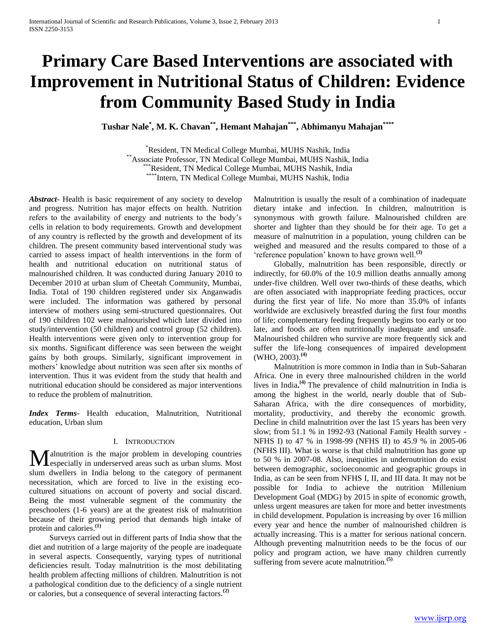# **Primary Care Based Interventions are associated with Improvement in Nutritional Status of Children: Evidence from Community Based Study in India**

**Tushar Nale\* , M. K. Chavan\*\* , Hemant Mahajan\*\*\* , Abhimanyu Mahajan\*\*\*\***

\*Resident, TN Medical College Mumbai, MUHS Nashik, India \*\*Associate Professor, TN Medical College Mumbai, MUHS Nashik, India \*\*\*Resident, TN Medical College Mumbai, MUHS Nashik, India \*\*\*\*Intern, TN Medical College Mumbai, MUHS Nashik, India

*Abstract***-** Health is basic requirement of any society to develop and progress. Nutrition has major effects on health. Nutrition refers to the availability of energy and nutrients to the body's cells in relation to body requirements. Growth and development of any country is reflected by the growth and development of its children. The present community based interventional study was carried to assess impact of health interventions in the form of health and nutritional education on nutritional status of malnourished children. It was conducted during January 2010 to December 2010 at urban slum of Cheetah Community, Mumbai, India. Total of 190 children registered under six Anganwadis were included. The information was gathered by personal interview of mothers using semi-structured questionnaires. Out of 190 children 102 were malnourished which later divided into study/intervention (50 children) and control group (52 children). Health interventions were given only to intervention group for six months. Significant difference was seen between the weight gains by both groups. Similarly, significant improvement in mothers' knowledge about nutrition was seen after six months of intervention. Thus it was evident from the study that health and nutritional education should be considered as major interventions to reduce the problem of malnutrition.

*Index Terms*- Health education, Malnutrition, Nutritional education, Urban slum

#### I. INTRODUCTION

alnutrition is the major problem in developing countries **M** alnutrition is the major problem in developing countries especially in underserved areas such as urban slums. Most slum dwellers in India belong to the category of permanent necessitation, which are forced to live in the existing ecocultured situations on account of poverty and social discard. Being the most vulnerable segment of the community the preschoolers (1-6 years) are at the greatest risk of malnutrition because of their growing period that demands high intake of protein and calories.**(1)**

 Surveys carried out in different parts of India show that the diet and nutrition of a large majority of the people are inadequate in several aspects. Consequently, varying types of nutritional deficiencies result. Today malnutrition is the most debilitating health problem affecting millions of children. Malnutrition is not a pathological condition due to the deficiency of a single nutrient or calories, but a consequence of several interacting factors.**(2)**

Malnutrition is usually the result of a combination of inadequate dietary intake and infection. In children, malnutrition is synonymous with growth failure. Malnourished children are shorter and lighter than they should be for their age. To get a measure of malnutrition in a population, young children can be weighed and measured and the results compared to those of a 'reference population' known to have grown well.**(3)**

 Globally, malnutrition has been responsible, directly or indirectly, for 60.0% of the 10.9 million deaths annually among under-five children. Well over two-thirds of these deaths, which are often associated with inappropriate feeding practices, occur during the first year of life. No more than 35.0% of infants worldwide are exclusively breastfed during the first four months of life; complementary feeding frequently begins too early or too late, and foods are often nutritionally inadequate and unsafe. Malnourished children who survive are more frequently sick and suffer the life-long consequences of impaired development (WHO, 2003).**(4)**

 Malnutrition is more common in India than in Sub-Saharan Africa. One in every three malnourished children in the world lives in India**. (4)** The prevalence of child malnutrition in India is among the highest in the world, nearly double that of Sub-Saharan Africa, with the dire consequences of morbidity, mortality, productivity, and thereby the economic growth. Decline in child malnutrition over the last 15 years has been very slow; from 51.1 % in 1992-93 (National Family Health survey - NFHS I) to 47 % in 1998-99 (NFHS II) to 45.9 % in 2005-06 (NFHS III). What is worse is that child malnutrition has gone up to 50 % in 2007-08. Also, inequities in undernutrition do exist between demographic, socioeconomic and geographic groups in India, as can be seen from NFHS I, II, and III data. It may not be possible for India to achieve the nutrition Millenium Development Goal (MDG) by 2015 in spite of economic growth, unless urgent measures are taken for more and better investments in child development. Population is increasing by over 16 million every year and hence the number of malnourished children is actually increasing. This is a matter for serious national concern. Although preventing malnutrition needs to be the focus of our policy and program action, we have many children currently suffering from severe acute malnutrition.**(5)**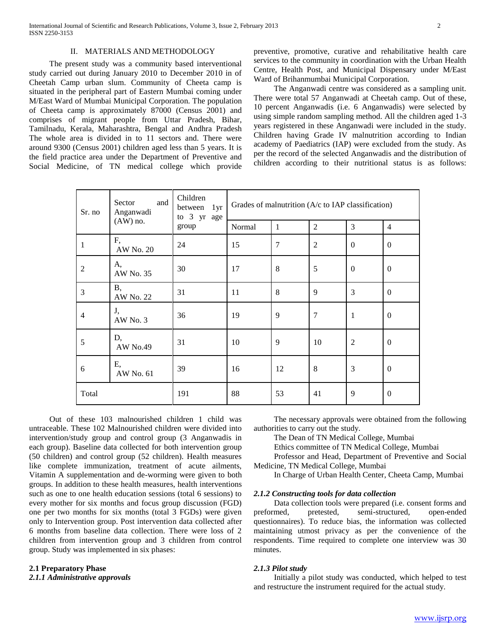#### II. MATERIALS AND METHODOLOGY

 The present study was a community based interventional study carried out during January 2010 to December 2010 in of Cheetah Camp urban slum. Community of Cheeta camp is situated in the peripheral part of Eastern Mumbai coming under M/East Ward of Mumbai Municipal Corporation. The population of Cheeta camp is approximately 87000 (Census 2001) and comprises of migrant people from Uttar Pradesh, Bihar, Tamilnadu, Kerala, Maharashtra, Bengal and Andhra Pradesh The whole area is divided in to 11 sectors and. There were around 9300 (Census 2001) children aged less than 5 years. It is the field practice area under the Department of Preventive and Social Medicine, of TN medical college which provide

preventive, promotive, curative and rehabilitative health care services to the community in coordination with the Urban Health Centre, Health Post, and Municipal Dispensary under M/East Ward of Brihanmumbai Municipal Corporation.

 The Anganwadi centre was considered as a sampling unit. There were total 57 Anganwadi at Cheetah camp. Out of these, 10 percent Anganwadis (i.e. 6 Anganwadis) were selected by using simple random sampling method. All the children aged 1-3 years registered in these Anganwadi were included in the study. Children having Grade IV malnutrition according to Indian academy of Paediatrics (IAP) were excluded from the study. As per the record of the selected Anganwadis and the distribution of children according to their nutritional status is as follows:

| Sr. no         | Sector<br>and<br>Anganwadi | Children<br>between 1yr<br>to 3 yr age | Grades of malnutrition ( $A/c$ to IAP classification) |                |                |                |                  |
|----------------|----------------------------|----------------------------------------|-------------------------------------------------------|----------------|----------------|----------------|------------------|
|                | $(AW)$ no.                 | group                                  | Normal                                                | $\mathbf{1}$   | $\overline{2}$ | 3              | $\overline{4}$   |
| 1              | F,<br>AW No. 20            | 24                                     | 15                                                    | $\overline{7}$ | $\overline{2}$ | $\mathbf{0}$   | $\overline{0}$   |
| $\overline{2}$ | A,<br>AW No. 35            | 30                                     | 17                                                    | 8              | 5              | $\Omega$       | $\theta$         |
| 3              | <b>B</b> ,<br>AW No. 22    | 31                                     | 11                                                    | 8              | $\mathbf{Q}$   | 3              | $\mathbf{0}$     |
| 4              | J,<br>AW No. 3             | 36                                     | 19                                                    | 9              | $\overline{7}$ | $\mathbf{1}$   | $\overline{0}$   |
| 5              | D,<br><b>AW No.49</b>      | 31                                     | 10                                                    | 9              | 10             | $\overline{2}$ | $\boldsymbol{0}$ |
| 6              | Ε,<br>AW No. 61            | 39                                     | 16                                                    | 12             | 8              | 3              | $\Omega$         |
| Total          |                            | 191                                    | 88                                                    | 53             | 41             | 9              | $\Omega$         |

 Out of these 103 malnourished children 1 child was untraceable. These 102 Malnourished children were divided into intervention/study group and control group (3 Anganwadis in each group). Baseline data collected for both intervention group (50 children) and control group (52 children). Health measures like complete immunization, treatment of acute ailments, Vitamin A supplementation and de-worming were given to both groups. In addition to these health measures, health interventions such as one to one health education sessions (total 6 sessions) to every mother for six months and focus group discussion (FGD) one per two months for six months (total 3 FGDs) were given only to Intervention group. Post intervention data collected after 6 months from baseline data collection. There were loss of 2 children from intervention group and 3 children from control group. Study was implemented in six phases:

#### **2.1 Preparatory Phase**

*2.1.1 Administrative approvals*

 The necessary approvals were obtained from the following authorities to carry out the study.

The Dean of TN Medical College, Mumbai

Ethics committee of TN Medical College, Mumbai

 Professor and Head, Department of Preventive and Social Medicine, TN Medical College, Mumbai

In Charge of Urban Health Center, Cheeta Camp, Mumbai

#### *2.1.2 Constructing tools for data collection*

 Data collection tools were prepared (i.e. consent forms and preformed, pretested, semi-structured, open-ended questionnaires). To reduce bias, the information was collected maintaining utmost privacy as per the convenience of the respondents. Time required to complete one interview was 30 minutes.

#### *2.1.3 Pilot study*

 Initially a pilot study was conducted, which helped to test and restructure the instrument required for the actual study.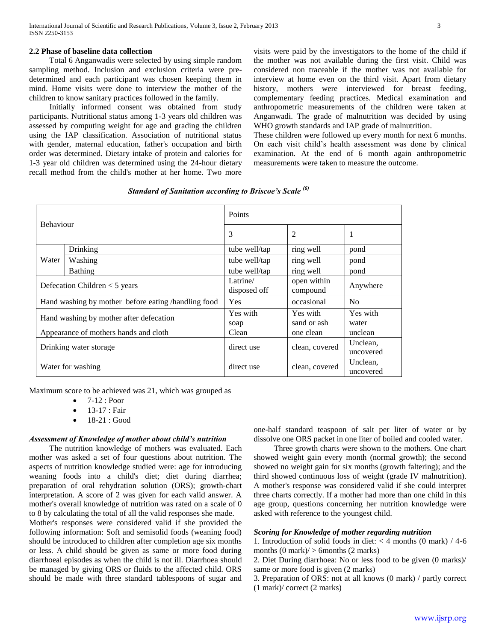Total 6 Anganwadis were selected by using simple random sampling method. Inclusion and exclusion criteria were predetermined and each participant was chosen keeping them in mind. Home visits were done to interview the mother of the children to know sanitary practices followed in the family.

 Initially informed consent was obtained from study participants. Nutritional status among 1-3 years old children was assessed by computing weight for age and grading the children using the IAP classification. Association of nutritional status with gender, maternal education, father's occupation and birth order was determined. Dietary intake of protein and calories for 1-3 year old children was determined using the 24-hour dietary recall method from the child's mother at her home. Two more

visits were paid by the investigators to the home of the child if the mother was not available during the first visit. Child was considered non traceable if the mother was not available for interview at home even on the third visit. Apart from dietary history, mothers were interviewed for breast feeding, complementary feeding practices. Medical examination and anthropometric measurements of the children were taken at Anganwadi. The grade of malnutrition was decided by using WHO growth standards and IAP grade of malnutrition.

These children were followed up every month for next 6 months. On each visit child's health assessment was done by clinical examination. At the end of 6 month again anthropometric measurements were taken to measure the outcome.

*Standard of Sanitation according to Briscoe's Scale (6)*

| <b>Behaviour</b>                        |                                                     | Points                   |                         |                       |  |
|-----------------------------------------|-----------------------------------------------------|--------------------------|-------------------------|-----------------------|--|
|                                         |                                                     | 3                        | 2                       | 1                     |  |
|                                         | Drinking                                            | tube well/tap            | ring well               | pond                  |  |
| Water                                   | Washing                                             | tube well/tap            | ring well               | pond                  |  |
| <b>Bathing</b>                          |                                                     | tube well/tap            | ring well               | pond                  |  |
| Defecation Children $<$ 5 years         |                                                     | Latrine/<br>disposed off | open within<br>compound | Anywhere              |  |
|                                         | Hand washing by mother before eating /handling food | <b>Yes</b>               | occasional              | No                    |  |
| Hand washing by mother after defecation |                                                     | Yes with<br>soap         | Yes with<br>sand or ash | Yes with<br>water     |  |
|                                         | Appearance of mothers hands and cloth               | Clean                    | one clean               | unclean               |  |
| Drinking water storage                  |                                                     | direct use               | clean, covered          |                       |  |
| Water for washing                       |                                                     | direct use               | clean, covered          | Unclean,<br>uncovered |  |

Maximum score to be achieved was 21, which was grouped as

- $\bullet$  7-12 : Poor
- 13-17 : Fair
- 18-21 : Good

#### *Assessment of Knowledge of mother about child's nutrition*

 The nutrition knowledge of mothers was evaluated. Each mother was asked a set of four questions about nutrition. The aspects of nutrition knowledge studied were: age for introducing weaning foods into a child's diet; diet during diarrhea; preparation of oral rehydration solution (ORS); growth-chart interpretation. A score of 2 was given for each valid answer. A mother's overall knowledge of nutrition was rated on a scale of 0 to 8 by calculating the total of all the valid responses she made.

Mother's responses were considered valid if she provided the following information: Soft and semisolid foods (weaning food) should be introduced to children after completion age six months or less. A child should be given as same or more food during diarrhoeal episodes as when the child is not ill. Diarrhoea should be managed by giving ORS or fluids to the affected child. ORS should be made with three standard tablespoons of sugar and

one-half standard teaspoon of salt per liter of water or by dissolve one ORS packet in one liter of boiled and cooled water.

 Three growth charts were shown to the mothers. One chart showed weight gain every month (normal growth); the second showed no weight gain for six months (growth faltering); and the third showed continuous loss of weight (grade IV malnutrition). A mother's response was considered valid if she could interpret three charts correctly. If a mother had more than one child in this age group, questions concerning her nutrition knowledge were asked with reference to the youngest child.

#### *Scoring for Knowledge of mother regarding nutrition*

1. Introduction of solid foods in diet:  $<$  4 months (0 mark) / 4-6 months  $(0 \text{ mark})$  > 6months  $(2 \text{ marks})$ 

2. Diet During diarrhoea: No or less food to be given (0 marks)/ same or more food is given (2 marks)

3. Preparation of ORS: not at all knows (0 mark) / partly correct (1 mark)/ correct (2 marks)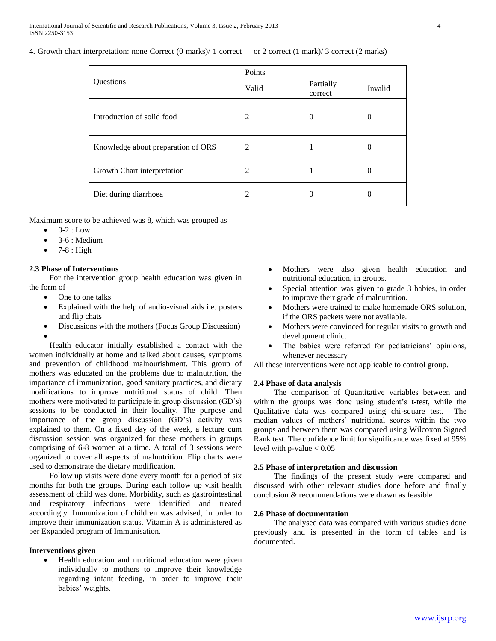4. Growth chart interpretation: none Correct (0 marks) 1 correct or 2 correct (1 mark) 3 correct (2 marks)

|                                    | Points |                      |                |  |  |
|------------------------------------|--------|----------------------|----------------|--|--|
| Questions                          | Valid  | Partially<br>correct | Invalid        |  |  |
| Introduction of solid food         | 2      | $\theta$             | $\overline{0}$ |  |  |
| Knowledge about preparation of ORS | 2      |                      | $\Omega$       |  |  |
| Growth Chart interpretation        | 2      |                      | $\theta$       |  |  |
| Diet during diarrhoea              | 2      | $\theta$             | $\theta$       |  |  |

Maximum score to be achieved was 8, which was grouped as

- 0-2 : Low
- 3-6 : Medium
- 7-8 : High

# **2.3 Phase of Interventions**

 For the intervention group health education was given in the form of

- One to one talks
- Explained with the help of audio-visual aids i.e. posters and flip chats
- Discussions with the mothers (Focus Group Discussion)  $\bullet$

 Health educator initially established a contact with the women individually at home and talked about causes, symptoms and prevention of childhood malnourishment. This group of mothers was educated on the problems due to malnutrition, the importance of immunization, good sanitary practices, and dietary modifications to improve nutritional status of child. Then mothers were motivated to participate in group discussion (GD's) sessions to be conducted in their locality. The purpose and importance of the group discussion (GD's) activity was explained to them. On a fixed day of the week, a lecture cum discussion session was organized for these mothers in groups comprising of 6-8 women at a time. A total of 3 sessions were organized to cover all aspects of malnutrition. Flip charts were used to demonstrate the dietary modification.

 Follow up visits were done every month for a period of six months for both the groups. During each follow up visit health assessment of child was done. Morbidity, such as gastrointestinal and respiratory infections were identified and treated accordingly. Immunization of children was advised, in order to improve their immunization status. Vitamin A is administered as per Expanded program of Immunisation.

# **Interventions given**

 Health education and nutritional education were given individually to mothers to improve their knowledge regarding infant feeding, in order to improve their babies' weights.

- Mothers were also given health education and nutritional education, in groups.
- Special attention was given to grade 3 babies, in order to improve their grade of malnutrition.
- Mothers were trained to make homemade ORS solution, if the ORS packets were not available.
- Mothers were convinced for regular visits to growth and development clinic.
- The babies were referred for pediatricians' opinions, whenever necessary

All these interventions were not applicable to control group.

## **2.4 Phase of data analysis**

 The comparison of Quantitative variables between and within the groups was done using student's t-test, while the Qualitative data was compared using chi-square test. The median values of mothers' nutritional scores within the two groups and between them was compared using Wilcoxon Signed Rank test. The confidence limit for significance was fixed at 95% level with p-value  $< 0.05$ 

#### **2.5 Phase of interpretation and discussion**

 The findings of the present study were compared and discussed with other relevant studies done before and finally conclusion & recommendations were drawn as feasible

## **2.6 Phase of documentation**

 The analysed data was compared with various studies done previously and is presented in the form of tables and is documented.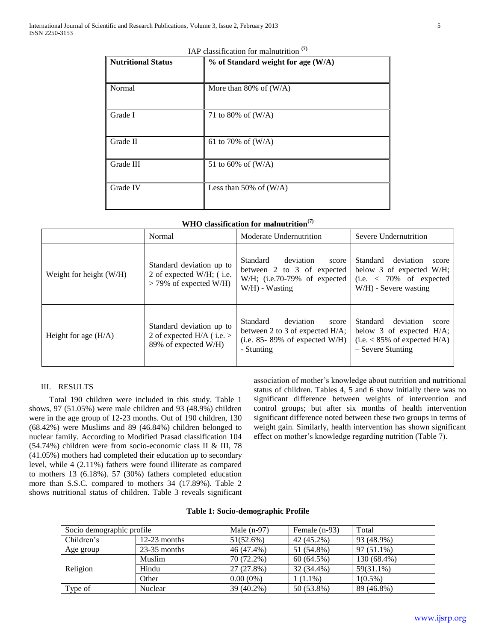| <b>Nutritional Status</b> | $%$ of Standard weight for age (W/A) |
|---------------------------|--------------------------------------|
|                           |                                      |
| Normal                    | More than 80% of $(W/A)$             |
| Grade I                   | 71 to 80% of $(W/A)$                 |
| Grade II                  | 61 to 70% of $(W/A)$                 |
| Grade III                 | 51 to 60% of $(W/A)$                 |
| Grade IV                  | Less than 50% of $(W/A)$             |

IAP classification for malnutrition **(7)**

|  |  |  | WHO classification for malnutrition $(7)$ |
|--|--|--|-------------------------------------------|
|--|--|--|-------------------------------------------|

|                           | Normal                                                                           | Moderate Undernutrition                                                                                                | Severe Undernutrition                                                                                                   |  |
|---------------------------|----------------------------------------------------------------------------------|------------------------------------------------------------------------------------------------------------------------|-------------------------------------------------------------------------------------------------------------------------|--|
| Weight for height $(W/H)$ | Standard deviation up to<br>2 of expected W/H; (i.e.<br>$>$ 79% of expected W/H) | deviation<br>Standard<br>score<br>between 2 to 3 of expected<br>W/H; $(i.e.70-79\%$ of expected<br>$W/H$ ) - Wasting   | Standard<br>deviation<br>score<br>below 3 of expected $W/H$ ;<br>$(i.e. < 70\%$ of expected<br>W/H) - Severe wasting    |  |
| Height for age $(H/A)$    | Standard deviation up to<br>2 of expected H/A (i.e. $>$<br>89% of expected W/H)  | Standard<br>deviation<br>score<br>between 2 to 3 of expected $H/A$ ;<br>(i.e. $85-89\%$ of expected W/H)<br>- Stunting | deviation<br>Standard<br>score<br>below 3 of expected $H/A$ ;<br>$(i.e. < 85\%$ of expected H/A)<br>$-$ Severe Stunting |  |

# III. RESULTS

 Total 190 children were included in this study. Table 1 shows, 97 (51.05%) were male children and 93 (48.9%) children were in the age group of 12-23 months. Out of 190 children, 130 (68.42%) were Muslims and 89 (46.84%) children belonged to nuclear family. According to Modified Prasad classification 104 (54.74%) children were from socio-economic class II & III, 78 (41.05%) mothers had completed their education up to secondary level, while 4 (2.11%) fathers were found illiterate as compared to mothers 13 (6.18%). 57 (30%) fathers completed education more than S.S.C. compared to mothers 34 (17.89%). Table 2 shows nutritional status of children. Table 3 reveals significant

association of mother's knowledge about nutrition and nutritional status of children. Tables 4, 5 and 6 show initially there was no significant difference between weights of intervention and control groups; but after six months of health intervention significant difference noted between these two groups in terms of weight gain. Similarly, health intervention has shown significant effect on mother's knowledge regarding nutrition (Table 7).

#### **Table 1: Socio-demographic Profile**

| Socio demographic profile |                | Male $(n-97)$ | Female $(n-93)$ | Total       |
|---------------------------|----------------|---------------|-----------------|-------------|
| Children's                | $12-23$ months | $51(52.6\%)$  | 42 (45.2%)      | 93 (48.9%)  |
| Age group                 | $23-35$ months | 46 (47.4%)    | 51 (54.8%)      | 97 (51.1%)  |
| Religion                  | Muslim         | 70 (72.2%)    | 60 (64.5%)      | 130 (68.4%) |
|                           | Hindu          | 27 (27.8%)    | 32 (34.4%)      | 59(31.1%)   |
|                           | Other          | $0.00(0\%)$   | $1(1.1\%)$      | $1(0.5\%)$  |
| Type of                   | Nuclear        | 39 (40.2%)    | 50 (53.8%)      | 89 (46.8%)  |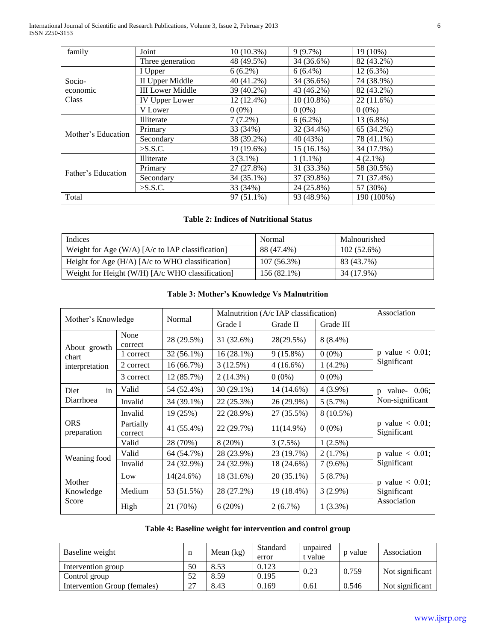International Journal of Scientific and Research Publications, Volume 3, Issue 2, February 2013 6 ISSN 2250-3153

| family             | Joint                   | $10(10.3\%)$ | $9(9.7\%)$   | 19 (10%)    |
|--------------------|-------------------------|--------------|--------------|-------------|
|                    | Three generation        | 48 (49.5%)   | 34 (36.6%)   | 82 (43.2%)  |
|                    | I Upper                 | $6(6.2\%)$   | $6(6.4\%)$   | $12(6.3\%)$ |
| Socio-             | II Upper Middle         | 40 (41.2%)   | 34 (36.6%)   | 74 (38.9%)  |
| economic           | <b>III Lower Middle</b> | 39 (40.2%)   | 43 (46.2%)   | 82 (43.2%)  |
| Class              | <b>IV Upper Lower</b>   | 12 (12.4%)   | $10(10.8\%)$ | 22(11.6%)   |
|                    | V Lower                 | $0(0\%)$     | $0(0\%)$     | $0(0\%)$    |
|                    | Illiterate              | $7(7.2\%)$   | $6(6.2\%)$   | 13 (6.8%)   |
| Mother's Education | Primary                 | 33 (34%)     | 32 (34.4%)   | 65 (34.2%)  |
|                    | Secondary               | 38 (39.2%)   | 40 (43%)     | 78 (41.1%)  |
|                    | $>$ S.S.C.              | 19 (19.6%)   | $15(16.1\%)$ | 34 (17.9%)  |
|                    | Illiterate              | $3(3.1\%)$   | $1(1.1\%)$   | $4(2.1\%)$  |
| Father's Education | Primary                 | 27 (27.8%)   | 31 (33.3%)   | 58 (30.5%)  |
|                    | Secondary               | 34 (35.1%)   | 37 (39.8%)   | 71 (37.4%)  |
|                    | $>$ S.S.C.              | 33 (34%)     | 24 (25.8%)   | 57 (30%)    |
| Total              |                         | 97 (51.1%)   | 93 (48.9%)   | 190 (100%)  |

# **Table 2: Indices of Nutritional Status**

| Indices                                            | Normal        | Malnourished  |
|----------------------------------------------------|---------------|---------------|
| Weight for Age $(W/A)$ [A/c to IAP classification] | 88 (47.4%)    | $102(52.6\%)$ |
| Height for Age $(H/A)$ [A/c to WHO classification] | $107(56.3\%)$ | 83 (43.7%)    |
| Weight for Height (W/H) $[A/c$ WHO classification] | $156(82.1\%)$ | 34 (17.9%)    |

|                              |                      | Normal       | Malnutrition $(A/c$ IAP classification) |              |             | Association                       |  |
|------------------------------|----------------------|--------------|-----------------------------------------|--------------|-------------|-----------------------------------|--|
| Mother's Knowledge           |                      |              | Grade I                                 | Grade II     | Grade III   |                                   |  |
| About growth                 | None<br>correct      | 28 (29.5%)   | 31 (32.6%)                              | 28(29.5%)    | $8(8.4\%)$  |                                   |  |
| chart                        | 1 correct            | $32(56.1\%)$ | $16(28.1\%)$                            | $9(15.8\%)$  | $0(0\%)$    | p value $< 0.01$ ;<br>Significant |  |
| interpretation               | 2 correct            | 16 (66.7%)   | 3(12.5%)                                | $4(16.6\%)$  | $1(4.2\%)$  |                                   |  |
|                              | 3 correct            | 12 (85.7%)   | $2(14.3\%)$                             | $0(0\%)$     | $0(0\%)$    |                                   |  |
| in<br>Diet                   | Valid                | 54 (52.4%)   | $30(29.1\%)$                            | 14 (14.6%)   | $4(3.9\%)$  | value- $0.06$ ;<br>$\mathbf{D}$   |  |
| Diarrhoea                    | Invalid              | 34 (39.1%)   | 22 (25.3%)                              | 26 (29.9%)   | $5(5.7\%)$  | Non-significant                   |  |
|                              | Invalid              | 19 (25%)     | 22 (28.9%)                              | 27 (35.5%)   | $8(10.5\%)$ |                                   |  |
| <b>ORS</b><br>preparation    | Partially<br>correct | 41 (55.4%)   | 22 (29.7%)                              | $11(14.9\%)$ | $0(0\%)$    | p value $< 0.01$ ;<br>Significant |  |
|                              | Valid                | 28 (70%)     | 8(20%)                                  | 3(7.5%)      | 1(2.5%)     |                                   |  |
| Weaning food                 | Valid                | 64 (54.7%)   | 28 (23.9%)                              | 23 (19.7%)   | 2(1.7%)     | p value $< 0.01$ ;                |  |
|                              | Invalid              | 24 (32.9%)   | 24 (32.9%)                              | 18 (24.6%)   | $7(9.6\%)$  | Significant                       |  |
| Mother<br>Knowledge<br>Score | Low                  | 14(24.6%)    | 18 (31.6%)                              | $20(35.1\%)$ | 5(8.7%)     | p value $< 0.01$ ;                |  |
|                              | Medium               | 53 (51.5%)   | 28 (27.2%)                              | 19 (18.4%)   | $3(2.9\%)$  | Significant                       |  |
|                              | High                 | 21 (70%)     | 6(20%)                                  | $2(6.7\%)$   | $1(3.3\%)$  | Association                       |  |

# **Table 4: Baseline weight for intervention and control group**

| Baseline weight              | n  | Mean $(kg)$ | Standard<br>error | unpaired<br>t value | p value | Association     |
|------------------------------|----|-------------|-------------------|---------------------|---------|-----------------|
| Intervention group           | 50 | 8.53        | 0.123             | 0.23                | 0.759   |                 |
| Control group                | 52 | 8.59        | 0.195             |                     |         | Not significant |
| Intervention Group (females) | 27 | 8.43        | 0.169             | 0.61                | 0.546   | Not significant |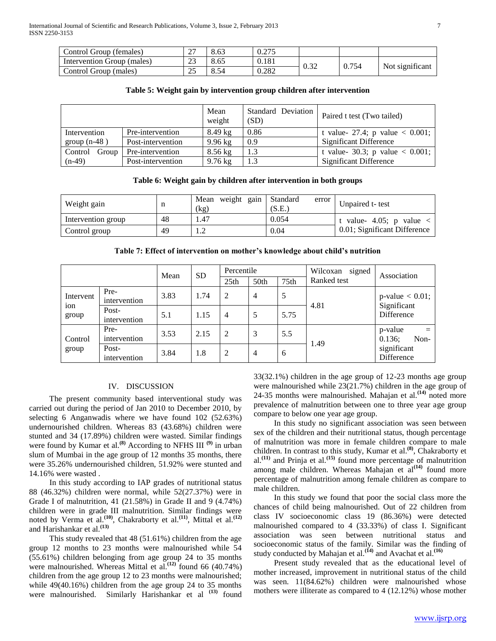| Control Group (females)    | $\sim$<br>ا ت | 8.63 | 0.275 |      |       |                 |
|----------------------------|---------------|------|-------|------|-------|-----------------|
| Intervention Group (males) | n n<br>ل کے   | 8.65 | 0.181 | 0.32 | 0.754 | Not significant |
| Control Group (males)      | າະ            | 8.54 | 0.282 |      |       |                 |

#### **Table 5: Weight gain by intervention group children after intervention**

|                                  |                   | Mean<br>weight    | Standard Deviation<br>(SD) | Paired t test (Two tailed)         |  |
|----------------------------------|-------------------|-------------------|----------------------------|------------------------------------|--|
| Intervention<br>Pre-intervention |                   | $8.49$ kg         | 0.86                       | t value- 27.4; p value $< 0.001$ ; |  |
| group $(n-48)$                   | Post-intervention | $9.96$ kg         | 0.9                        | <b>Significant Difference</b>      |  |
| Group<br>Control                 | Pre-intervention  | $8.56$ kg         | 1.3                        | t value- 30.3; p value $< 0.001$ ; |  |
| $(n-49)$                         | Post-intervention | $9.76 \text{ kg}$ | 1.3                        | <b>Significant Difference</b>      |  |

#### **Table 6: Weight gain by children after intervention in both groups**

| Weight gain        | n  | Mean weight gain<br>(kg) | Standard<br>error<br>(S.E.) | Unpaired t-test               |  |
|--------------------|----|--------------------------|-----------------------------|-------------------------------|--|
| Intervention group | 48 | 1.47                     | 0.054                       | value-4.05; p value $\langle$ |  |
| Control group      | 49 |                          | 0.04                        | 0.01; Significant Difference  |  |

**Table 7: Effect of intervention on mother's knowledge about child's nutrition**

|                           |                       | Mean | <b>SD</b> | Percentile       |                  |                  | signed<br>Wilcoxan | Association                          |
|---------------------------|-----------------------|------|-----------|------------------|------------------|------------------|--------------------|--------------------------------------|
|                           |                       |      |           | 25 <sub>th</sub> | 50 <sub>th</sub> | 75 <sub>th</sub> | Ranked test        |                                      |
| Intervent<br>ion<br>group | Pre-<br>intervention  | 3.83 | 1.74      | 2                | 4                | 5                | 4.81               | $p$ -value $< 0.01$ ;<br>Significant |
|                           | Post-<br>intervention | 5.1  | 1.15      | 4                | 5                | 5.75             |                    | Difference                           |
| Control<br>group          | Pre-<br>intervention  | 3.53 | 2.15      | 2                | 3                | 5.5              | 1.49               | p-value<br>$=$<br>Non-<br>0.136;     |
|                           | Post-<br>intervention | 3.84 | 1.8       | 2                | $\overline{4}$   | 6                |                    | significant<br>Difference            |

# IV. DISCUSSION

 The present community based interventional study was carried out during the period of Jan 2010 to December 2010, by selecting 6 Anganwadis where we have found 102 (52.63%) undernourished children. Whereas 83 (43.68%) children were stunted and 34 (17.89%) children were wasted. Similar findings were found by Kumar et al.**(8)** According to NFHS III **(9)** in urban slum of Mumbai in the age group of 12 months 35 months, there were 35.26% undernourished children, 51.92% were stunted and 14.16% were wasted .

 In this study according to IAP grades of nutritional status 88 (46.32%) children were normal, while 52(27.37%) were in Grade I of malnutrition, 41 (21.58%) in Grade II and 9 (4.74%) children were in grade III malnutrition. Similar findings were noted by Verma et al.**(10)** , Chakraborty et al.**(11)** , Mittal et al.**(12)** and Harishankar et al.**(13)**

 This study revealed that 48 (51.61%) children from the age group 12 months to 23 months were malnourished while 54 (55.61%) children belonging from age group 24 to 35 months were malnourished. Whereas Mittal et al.<sup>(12)</sup> found 66 (40.74%) children from the age group 12 to 23 months were malnourished; while 49(40.16%) children from the age group 24 to 35 months were malnourished. Similarly Harishankar et al **(13)** found

33(32.1%) children in the age group of 12-23 months age group were malnourished while 23(21.7%) children in the age group of 24-35 months were malnourished. Mahajan et al.**(14)** noted more prevalence of malnutrition between one to three year age group compare to below one year age group.

 In this study no significant association was seen between sex of the children and their nutritional status, though percentage of malnutrition was more in female children compare to male children. In contrast to this study, Kumar et al.**(8)** , Chakraborty et al.**(11)** and Prinja et al.**(15)** found more percentage of malnutrition among male children. Whereas Mahajan et al<sup>(14)</sup> found more percentage of malnutrition among female children as compare to male children.

 In this study we found that poor the social class more the chances of child being malnourished. Out of 22 children from class IV socioeconomic class 19 (86.36%) were detected malnourished compared to 4 (33.33%) of class I. Significant association was seen between nutritional status and socioeconomic status of the family. Similar was the finding of study conducted by Mahajan et al.**(14)** and Avachat et al.**(16)**

 Present study revealed that as the educational level of mother increased, improvement in nutritional status of the child was seen. 11(84.62%) children were malnourished whose mothers were illiterate as compared to 4 (12.12%) whose mother